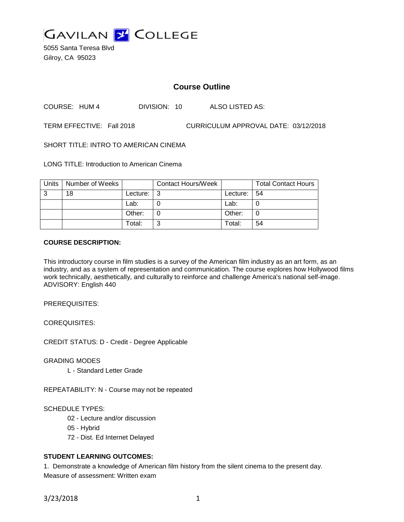

5055 Santa Teresa Blvd Gilroy, CA 95023

# **Course Outline**

COURSE: HUM 4 DIVISION: 10 ALSO LISTED AS:

TERM EFFECTIVE: Fall 2018 CURRICULUM APPROVAL DATE: 03/12/2018

SHORT TITLE: INTRO TO AMERICAN CINEMA

LONG TITLE: Introduction to American Cinema

| Units | Number of Weeks |          | <b>Contact Hours/Week</b> |          | <b>Total Contact Hours</b> |
|-------|-----------------|----------|---------------------------|----------|----------------------------|
| 3     | 18              | Lecture: | l 3                       | Lecture: | l 54                       |
|       |                 | Lab:     |                           | Lab:     |                            |
|       |                 | Other:   |                           | Other:   |                            |
|       |                 | Total:   | ⌒                         | Total:   | 54                         |

#### **COURSE DESCRIPTION:**

This introductory course in film studies is a survey of the American film industry as an art form, as an industry, and as a system of representation and communication. The course explores how Hollywood films work technically, aesthetically, and culturally to reinforce and challenge America's national self-image. ADVISORY: English 440

PREREQUISITES:

COREQUISITES:

CREDIT STATUS: D - Credit - Degree Applicable

GRADING MODES

L - Standard Letter Grade

REPEATABILITY: N - Course may not be repeated

#### SCHEDULE TYPES:

- 02 Lecture and/or discussion
- 05 Hybrid
- 72 Dist. Ed Internet Delayed

## **STUDENT LEARNING OUTCOMES:**

1. Demonstrate a knowledge of American film history from the silent cinema to the present day. Measure of assessment: Written exam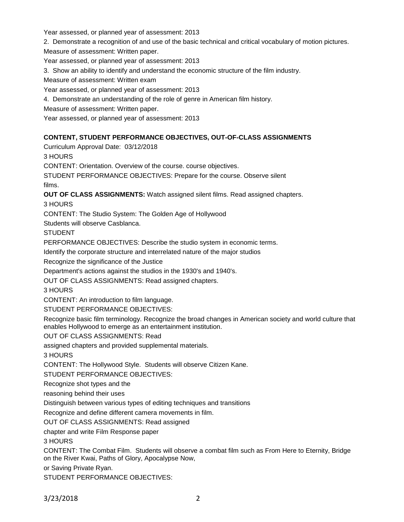Year assessed, or planned year of assessment: 2013

2. Demonstrate a recognition of and use of the basic technical and critical vocabulary of motion pictures.

Measure of assessment: Written paper.

Year assessed, or planned year of assessment: 2013

3. Show an ability to identify and understand the economic structure of the film industry.

Measure of assessment: Written exam

Year assessed, or planned year of assessment: 2013

4. Demonstrate an understanding of the role of genre in American film history.

Measure of assessment: Written paper.

Year assessed, or planned year of assessment: 2013

### **CONTENT, STUDENT PERFORMANCE OBJECTIVES, OUT-OF-CLASS ASSIGNMENTS**

Curriculum Approval Date: 03/12/2018

3 HOURS

CONTENT: Orientation. Overview of the course. course objectives.

STUDENT PERFORMANCE OBJECTIVES: Prepare for the course. Observe silent films.

**OUT OF CLASS ASSIGNMENTS:** Watch assigned silent films. Read assigned chapters.

3 HOURS

CONTENT: The Studio System: The Golden Age of Hollywood

Students will observe Casblanca.

**STUDENT** 

PERFORMANCE OBJECTIVES: Describe the studio system in economic terms.

Identify the corporate structure and interrelated nature of the major studios

Recognize the significance of the Justice

Department's actions against the studios in the 1930's and 1940's.

OUT OF CLASS ASSIGNMENTS: Read assigned chapters.

3 HOURS

CONTENT: An introduction to film language.

STUDENT PERFORMANCE OBJECTIVES:

Recognize basic film terminology. Recognize the broad changes in American society and world culture that enables Hollywood to emerge as an entertainment institution.

OUT OF CLASS ASSIGNMENTS: Read

assigned chapters and provided supplemental materials.

3 HOURS

CONTENT: The Hollywood Style. Students will observe Citizen Kane.

STUDENT PERFORMANCE OBJECTIVES:

Recognize shot types and the

reasoning behind their uses

Distinguish between various types of editing techniques and transitions

Recognize and define different camera movements in film.

OUT OF CLASS ASSIGNMENTS: Read assigned

chapter and write Film Response paper

3 HOURS

CONTENT: The Combat Film. Students will observe a combat film such as From Here to Eternity, Bridge on the River Kwai, Paths of Glory, Apocalypse Now,

or Saving Private Ryan.

STUDENT PERFORMANCE OBJECTIVES: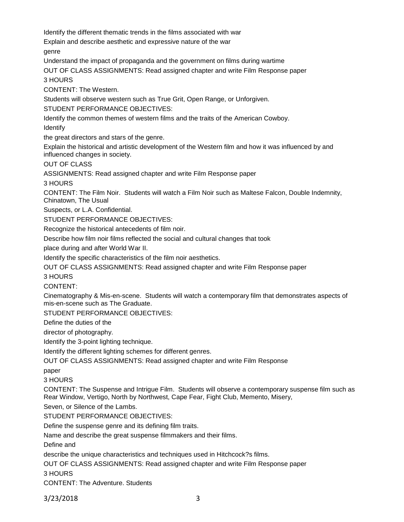Identify the different thematic trends in the films associated with war

Explain and describe aesthetic and expressive nature of the war

genre

Understand the impact of propaganda and the government on films during wartime

OUT OF CLASS ASSIGNMENTS: Read assigned chapter and write Film Response paper

3 HOURS

CONTENT: The Western.

Students will observe western such as True Grit, Open Range, or Unforgiven.

STUDENT PERFORMANCE OBJECTIVES:

Identify the common themes of western films and the traits of the American Cowboy.

Identify

the great directors and stars of the genre.

Explain the historical and artistic development of the Western film and how it was influenced by and influenced changes in society.

OUT OF CLASS

ASSIGNMENTS: Read assigned chapter and write Film Response paper

3 HOURS

CONTENT: The Film Noir. Students will watch a Film Noir such as Maltese Falcon, Double Indemnity, Chinatown, The Usual

Suspects, or L.A. Confidential.

STUDENT PERFORMANCE OBJECTIVES:

Recognize the historical antecedents of film noir.

Describe how film noir films reflected the social and cultural changes that took

place during and after World War II.

Identify the specific characteristics of the film noir aesthetics.

OUT OF CLASS ASSIGNMENTS: Read assigned chapter and write Film Response paper

3 HOURS

CONTENT:

Cinematography & Mis-en-scene. Students will watch a contemporary film that demonstrates aspects of mis-en-scene such as The Graduate.

STUDENT PERFORMANCE OBJECTIVES:

Define the duties of the

director of photography.

Identify the 3-point lighting technique.

Identify the different lighting schemes for different genres.

OUT OF CLASS ASSIGNMENTS: Read assigned chapter and write Film Response

paper

3 HOURS

CONTENT: The Suspense and Intrigue Film. Students will observe a contemporary suspense film such as Rear Window, Vertigo, North by Northwest, Cape Fear, Fight Club, Memento, Misery,

Seven, or Silence of the Lambs.

STUDENT PERFORMANCE OBJECTIVES:

Define the suspense genre and its defining film traits.

Name and describe the great suspense filmmakers and their films.

Define and

describe the unique characteristics and techniques used in Hitchcock?s films.

OUT OF CLASS ASSIGNMENTS: Read assigned chapter and write Film Response paper

3 HOURS

CONTENT: The Adventure. Students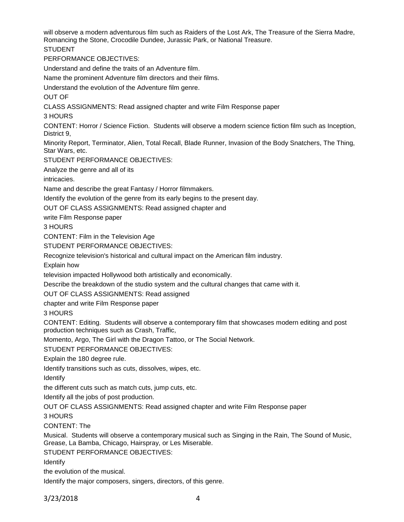will observe a modern adventurous film such as Raiders of the Lost Ark, The Treasure of the Sierra Madre, Romancing the Stone, Crocodile Dundee, Jurassic Park, or National Treasure.

STUDENT

PERFORMANCE OBJECTIVES:

Understand and define the traits of an Adventure film.

Name the prominent Adventure film directors and their films.

Understand the evolution of the Adventure film genre.

OUT OF

CLASS ASSIGNMENTS: Read assigned chapter and write Film Response paper

3 HOURS

CONTENT: Horror / Science Fiction. Students will observe a modern science fiction film such as Inception, District 9,

Minority Report, Terminator, Alien, Total Recall, Blade Runner, Invasion of the Body Snatchers, The Thing, Star Wars, etc.

STUDENT PERFORMANCE OBJECTIVES:

Analyze the genre and all of its

intricacies.

Name and describe the great Fantasy / Horror filmmakers.

Identify the evolution of the genre from its early begins to the present day.

OUT OF CLASS ASSIGNMENTS: Read assigned chapter and

write Film Response paper

3 HOURS

CONTENT: Film in the Television Age

STUDENT PERFORMANCE OBJECTIVES:

Recognize television's historical and cultural impact on the American film industry.

Explain how

television impacted Hollywood both artistically and economically.

Describe the breakdown of the studio system and the cultural changes that came with it.

OUT OF CLASS ASSIGNMENTS: Read assigned

chapter and write Film Response paper

3 HOURS

CONTENT: Editing. Students will observe a contemporary film that showcases modern editing and post production techniques such as Crash, Traffic,

Momento, Argo, The Girl with the Dragon Tattoo, or The Social Network.

STUDENT PERFORMANCE OBJECTIVES:

Explain the 180 degree rule.

Identify transitions such as cuts, dissolves, wipes, etc.

Identify

the different cuts such as match cuts, jump cuts, etc.

Identify all the jobs of post production.

OUT OF CLASS ASSIGNMENTS: Read assigned chapter and write Film Response paper

3 HOURS

CONTENT: The

Musical. Students will observe a contemporary musical such as Singing in the Rain, The Sound of Music, Grease, La Bamba, Chicago, Hairspray, or Les Miserable.

STUDENT PERFORMANCE OBJECTIVES:

Identify

the evolution of the musical.

Identify the major composers, singers, directors, of this genre.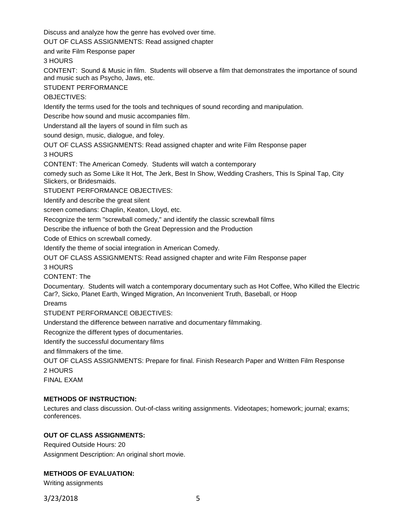Discuss and analyze how the genre has evolved over time.

OUT OF CLASS ASSIGNMENTS: Read assigned chapter

and write Film Response paper

3 HOURS

CONTENT: Sound & Music in film. Students will observe a film that demonstrates the importance of sound and music such as Psycho, Jaws, etc.

STUDENT PERFORMANCE

OBJECTIVES:

Identify the terms used for the tools and techniques of sound recording and manipulation.

Describe how sound and music accompanies film.

Understand all the layers of sound in film such as

sound design, music, dialogue, and foley.

OUT OF CLASS ASSIGNMENTS: Read assigned chapter and write Film Response paper

3 HOURS

CONTENT: The American Comedy. Students will watch a contemporary

comedy such as Some Like It Hot, The Jerk, Best In Show, Wedding Crashers, This Is Spinal Tap, City Slickers, or Bridesmaids.

STUDENT PERFORMANCE OBJECTIVES:

Identify and describe the great silent

screen comedians: Chaplin, Keaton, Lloyd, etc.

Recognize the term "screwball comedy," and identify the classic screwball films

Describe the influence of both the Great Depression and the Production

Code of Ethics on screwball comedy.

Identify the theme of social integration in American Comedy.

OUT OF CLASS ASSIGNMENTS: Read assigned chapter and write Film Response paper

3 HOURS

CONTENT: The

Documentary. Students will watch a contemporary documentary such as Hot Coffee, Who Killed the Electric Car?, Sicko, Planet Earth, Winged Migration, An Inconvenient Truth, Baseball, or Hoop

Dreams

STUDENT PERFORMANCE OBJECTIVES:

Understand the difference between narrative and documentary filmmaking.

Recognize the different types of documentaries.

Identify the successful documentary films

and filmmakers of the time.

OUT OF CLASS ASSIGNMENTS: Prepare for final. Finish Research Paper and Written Film Response 2 HOURS

FINAL EXAM

### **METHODS OF INSTRUCTION:**

Lectures and class discussion. Out-of-class writing assignments. Videotapes; homework; journal; exams; conferences.

# **OUT OF CLASS ASSIGNMENTS:**

Required Outside Hours: 20

Assignment Description: An original short movie.

### **METHODS OF EVALUATION:**

Writing assignments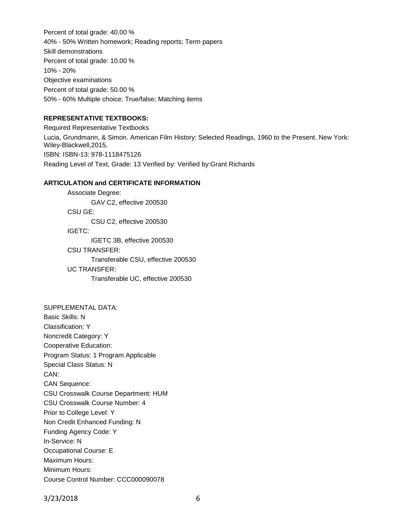Percent of total grade: 40.00 % 40% - 50% Written homework; Reading reports; Term papers Skill demonstrations Percent of total grade: 10.00 % 10% - 20% Objective examinations Percent of total grade: 50.00 % 50% - 60% Multiple choice; True/false; Matching items

#### **REPRESENTATIVE TEXTBOOKS:**

Required Representative Textbooks Lucia, Grundmann, & Simon. American Film History: Selected Readings, 1960 to the Present. New York: Wiley-Blackwell,2015. ISBN: ISBN-13: 978-1118475126 Reading Level of Text, Grade: 13 Verified by: Verified by:Grant Richards

#### **ARTICULATION and CERTIFICATE INFORMATION**

Associate Degree: GAV C2, effective 200530 CSU GE: CSU C2, effective 200530 IGETC: IGETC 3B, effective 200530 CSU TRANSFER: Transferable CSU, effective 200530 UC TRANSFER:

Transferable UC, effective 200530

SUPPLEMENTAL DATA: Basic Skills: N Classification: Y Noncredit Category: Y Cooperative Education: Program Status: 1 Program Applicable Special Class Status: N CAN: CAN Sequence: CSU Crosswalk Course Department: HUM CSU Crosswalk Course Number: 4 Prior to College Level: Y Non Credit Enhanced Funding: N Funding Agency Code: Y In-Service: N Occupational Course: E Maximum Hours: Minimum Hours: Course Control Number: CCC000090078